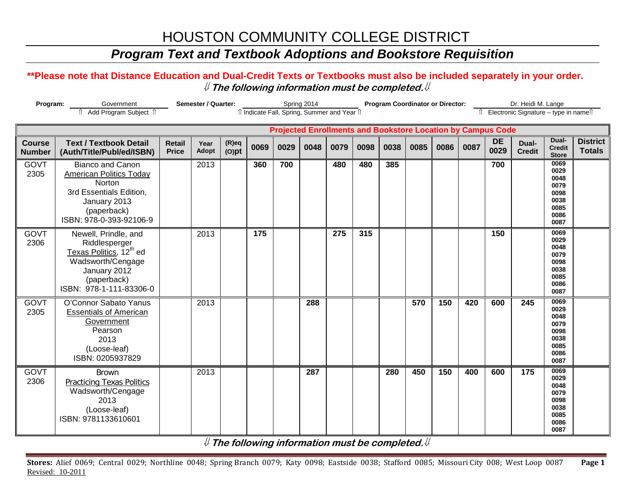# HOUSTON COMMUNITY COLLEGE DISTRICT

## *Program Text and Textbook Adoptions and Bookstore Requisition*

#### **\*\*Please note that Distance Education and Dual-Credit Texts or Textbooks must also be included separately in your order.**  ⇓ **The following information must be completed.**⇓

| Program:                       |                                                                                                                                                                 | Semester / Quarter:           |               | Spring 2014<br>îl Indicate Fall, Spring, Summer and Year îl |      |      |      | <b>Program Coordinator or Director:</b> |      |      |      |      | Dr. Heidi M. Lange<br>Îl Electronic Signature - type in nameîl |                   |                        |                                                                      |                                  |
|--------------------------------|-----------------------------------------------------------------------------------------------------------------------------------------------------------------|-------------------------------|---------------|-------------------------------------------------------------|------|------|------|-----------------------------------------|------|------|------|------|----------------------------------------------------------------|-------------------|------------------------|----------------------------------------------------------------------|----------------------------------|
|                                | <b>Projected Enrollments and Bookstore Location by Campus Code</b>                                                                                              |                               |               |                                                             |      |      |      |                                         |      |      |      |      |                                                                |                   |                        |                                                                      |                                  |
| <b>Course</b><br><b>Number</b> | <b>Text / Textbook Detail</b><br>(Auth/Title/Publ/ed/ISBN)                                                                                                      | <b>Retail</b><br><b>Price</b> | Year<br>Adopt | $(R)$ eq<br>$(O)$ pt                                        | 0069 | 0029 | 0048 | 0079                                    | 0098 | 0038 | 0085 | 0086 | 0087                                                           | <b>DE</b><br>0029 | Dual-<br><b>Credit</b> | Dual-<br><b>Credit</b><br><b>Store</b>                               | <b>District</b><br><b>Totals</b> |
| GOVT<br>2305                   | <b>Bianco and Canon</b><br><b>American Politics Today</b><br><b>Norton</b><br>3rd Essentials Edition,<br>January 2013<br>(paperback)<br>ISBN: 978-0-393-92106-9 |                               | 2013          |                                                             | 360  | 700  |      | 480                                     | 480  | 385  |      |      |                                                                | 700               |                        | 0069<br>0029<br>0048<br>0079<br>0098<br>0038<br>0085<br>0086<br>0087 |                                  |
| <b>GOVT</b><br>2306            | Newell, Prindle, and<br>Riddlesperger<br>Texas Politics, 12 <sup>th</sup> ed<br>Wadsworth/Cengage<br>January 2012<br>(paperback)<br>ISBN: 978-1-111-83306-0     |                               | 2013          |                                                             | 175  |      |      | 275                                     | 315  |      |      |      |                                                                | 150               |                        | 0069<br>0029<br>0048<br>0079<br>0098<br>0038<br>0085<br>0086<br>0087 |                                  |
| GOVT<br>2305                   | O'Connor Sabato Yanus<br><b>Essentials of American</b><br>Government<br>Pearson<br>2013<br>(Loose-leaf)<br>ISBN: 0205937829                                     |                               | 2013          |                                                             |      |      | 288  |                                         |      |      | 570  | 150  | 420                                                            | 600               | 245                    | 0069<br>0029<br>0048<br>0079<br>0098<br>0038<br>0085<br>0086<br>0087 |                                  |
| <b>GOVT</b><br>2306            | <b>Brown</b><br><b>Practicing Texas Politics</b><br>Wadsworth/Cengage<br>2013<br>(Loose-leaf)<br>ISBN: 9781133610601                                            |                               | 2013          |                                                             |      |      | 287  |                                         |      | 280  | 450  | 150  | 400                                                            | 600               | 175                    | 0069<br>0029<br>0048<br>0079<br>0098<br>0038<br>0085<br>0086<br>0087 |                                  |

⇓ **The following information must be completed.**⇓